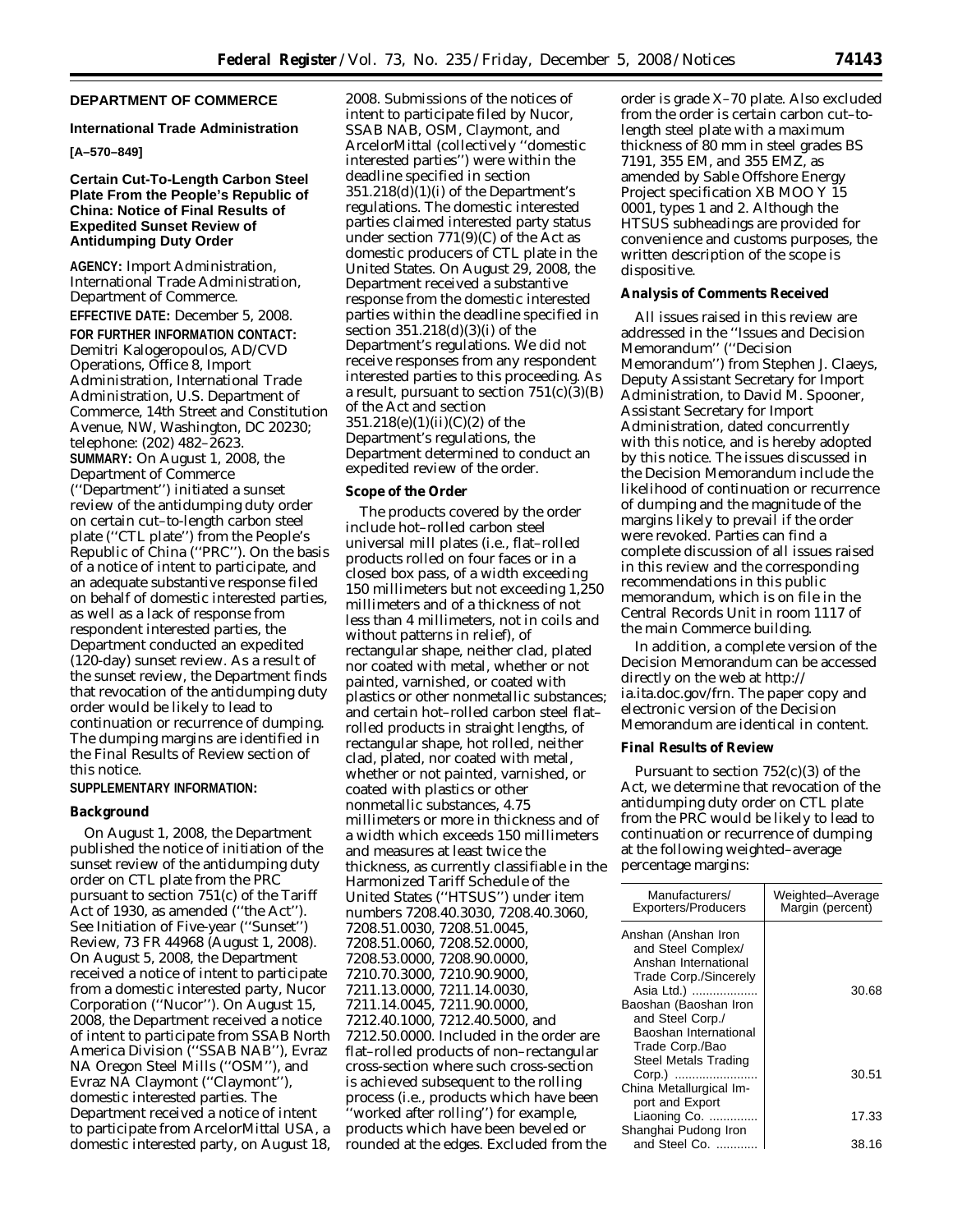# **DEPARTMENT OF COMMERCE**

### **International Trade Administration**

# **[A–570–849]**

# **Certain Cut-To-Length Carbon Steel Plate From the People's Republic of China: Notice of Final Results of Expedited Sunset Review of Antidumping Duty Order**

**AGENCY:** Import Administration, International Trade Administration, Department of Commerce.

**EFFECTIVE DATE:** December 5, 2008. **FOR FURTHER INFORMATION CONTACT:**  Demitri Kalogeropoulos, AD/CVD Operations, Office 8, Import Administration, International Trade Administration, U.S. Department of Commerce, 14th Street and Constitution Avenue, NW, Washington, DC 20230; telephone: (202) 482–2623. **SUMMARY:** On August 1, 2008, the Department of Commerce (''Department'') initiated a sunset review of the antidumping duty order on certain cut–to-length carbon steel plate (''CTL plate'') from the People's Republic of China (''PRC''). On the basis of a notice of intent to participate, and an adequate substantive response filed on behalf of domestic interested parties, as well as a lack of response from respondent interested parties, the Department conducted an expedited (120-day) sunset review. As a result of the sunset review, the Department finds that revocation of the antidumping duty order would be likely to lead to continuation or recurrence of dumping. The dumping margins are identified in the *Final Results of Review* section of this notice.

## **SUPPLEMENTARY INFORMATION:**

### **Background**

On August 1, 2008, the Department published the notice of initiation of the sunset review of the antidumping duty order on CTL plate from the PRC pursuant to section 751(c) of the Tariff Act of 1930, as amended (''the Act''). *See Initiation of Five-year (''Sunset'') Review*, 73 FR 44968 (August 1, 2008). On August 5, 2008, the Department received a notice of intent to participate from a domestic interested party, Nucor Corporation (''Nucor''). On August 15, 2008, the Department received a notice of intent to participate from SSAB North America Division (''SSAB NAB''), Evraz NA Oregon Steel Mills (''OSM''), and Evraz NA Claymont (''Claymont''), domestic interested parties. The Department received a notice of intent to participate from ArcelorMittal USA, a domestic interested party, on August 18, 2008. Submissions of the notices of intent to participate filed by Nucor, SSAB NAB, OSM, Claymont, and ArcelorMittal (collectively ''domestic interested parties'') were within the deadline specified in section  $351.218(d)(1)(i)$  of the Department's regulations. The domestic interested parties claimed interested party status under section  $771(9)(C)$  of the Act as domestic producers of CTL plate in the United States. On August 29, 2008, the Department received a substantive response from the domestic interested parties within the deadline specified in section 351.218(d)(3)(i) of the Department's regulations. We did not receive responses from any respondent interested parties to this proceeding. As a result, pursuant to section  $751(c)(3)(B)$ of the Act and section 351.218(e)(1)(ii)(C)(2) of the Department's regulations, the Department determined to conduct an expedited review of the order.

#### **Scope of the Order**

The products covered by the order include hot–rolled carbon steel universal mill plates (*i.e.*, flat–rolled products rolled on four faces or in a closed box pass, of a width exceeding 150 millimeters but not exceeding 1,250 millimeters and of a thickness of not less than 4 millimeters, not in coils and without patterns in relief), of rectangular shape, neither clad, plated nor coated with metal, whether or not painted, varnished, or coated with plastics or other nonmetallic substances; and certain hot–rolled carbon steel flat– rolled products in straight lengths, of rectangular shape, hot rolled, neither clad, plated, nor coated with metal, whether or not painted, varnished, or coated with plastics or other nonmetallic substances, 4.75 millimeters or more in thickness and of a width which exceeds 150 millimeters and measures at least twice the thickness, as currently classifiable in the Harmonized Tariff Schedule of the United States (''HTSUS'') under item numbers 7208.40.3030, 7208.40.3060, 7208.51.0030, 7208.51.0045, 7208.51.0060, 7208.52.0000, 7208.53.0000, 7208.90.0000, 7210.70.3000, 7210.90.9000, 7211.13.0000, 7211.14.0030, 7211.14.0045, 7211.90.0000, 7212.40.1000, 7212.40.5000, and 7212.50.0000. Included in the order are flat–rolled products of non–rectangular cross-section where such cross-section is achieved subsequent to the rolling process (*i.e.*, products which have been 'worked after rolling'') for example, products which have been beveled or rounded at the edges. Excluded from the

order is grade X–70 plate. Also excluded from the order is certain carbon cut–tolength steel plate with a maximum thickness of 80 mm in steel grades BS 7191, 355 EM, and 355 EMZ, as amended by Sable Offshore Energy Project specification XB MOO Y 15 0001, types 1 and 2. Although the HTSUS subheadings are provided for convenience and customs purposes, the written description of the scope is dispositive.

#### **Analysis of Comments Received**

All issues raised in this review are addressed in the ''Issues and Decision Memorandum'' (''Decision Memorandum'') from Stephen J. Claeys, Deputy Assistant Secretary for Import Administration, to David M. Spooner, Assistant Secretary for Import Administration, dated concurrently with this notice, and is hereby adopted by this notice. The issues discussed in the Decision Memorandum include the likelihood of continuation or recurrence of dumping and the magnitude of the margins likely to prevail if the order were revoked. Parties can find a complete discussion of all issues raised in this review and the corresponding recommendations in this public memorandum, which is on file in the Central Records Unit in room 1117 of the main Commerce building.

In addition, a complete version of the Decision Memorandum can be accessed directly on the web at http:// ia.ita.doc.gov/frn. The paper copy and electronic version of the Decision Memorandum are identical in content.

### **Final Results of Review**

Pursuant to section  $752(c)(3)$  of the Act, we determine that revocation of the antidumping duty order on CTL plate from the PRC would be likely to lead to continuation or recurrence of dumping at the following weighted–average percentage margins:

| Manufacturers/<br><b>Exporters/Producers</b> | Weighted-Average<br>Margin (percent) |
|----------------------------------------------|--------------------------------------|
| Anshan (Anshan Iron<br>and Steel Complex/    |                                      |
| Anshan International                         |                                      |
| Trade Corp./Sincerely                        |                                      |
| Asia Ltd.)                                   | 30.68                                |
| Baoshan (Baoshan Iron                        |                                      |
| and Steel Corp./                             |                                      |
| Baoshan International                        |                                      |
| Trade Corp./Bao                              |                                      |
| Steel Metals Trading                         |                                      |
| Corp.)                                       | 30.51                                |
| China Metallurgical Im-                      |                                      |
| port and Export                              |                                      |
| Liaoning Co.                                 | 17.33                                |
| Shanghai Pudong Iron                         |                                      |
| and Steel Co.                                | 38.16                                |